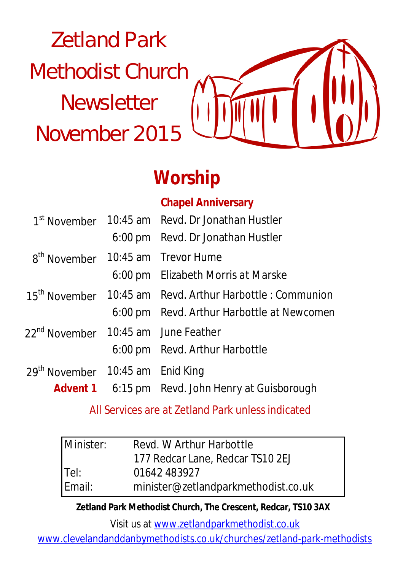# Zetland Park Methodist Church **Newsletter** November 2015



# **Worship**

### **Chapel Anniversary**

|                                                 | 1 <sup>st</sup> November 10:45 am Revd. Dr Jonathan Hustler          |
|-------------------------------------------------|----------------------------------------------------------------------|
|                                                 | 6:00 pm Revd. Dr Jonathan Hustler                                    |
| 8 <sup>th</sup> November                        | 10:45 am Trevor Hume                                                 |
|                                                 | 6:00 pm Elizabeth Morris at Marske                                   |
|                                                 | 15 <sup>th</sup> November 10:45 am Revd. Arthur Harbottle: Communion |
|                                                 | 6:00 pm Revd. Arthur Harbottle at Newcomen                           |
| 22 <sup>nd</sup> November 10:45 am June Feather |                                                                      |
|                                                 | 6:00 pm Revd. Arthur Harbottle                                       |
| 29 <sup>th</sup> November 10:45 am Enid King    |                                                                      |
|                                                 | <b>Advent 1</b> 6:15 pm Revd. John Henry at Guisborough              |

All Services are at Zetland Park unless indicated

| Minister: | Revd. W Arthur Harbottle            |
|-----------|-------------------------------------|
|           | 177 Redcar Lane, Redcar TS10 2EJ    |
| $ $ Tel:  | 01642 483927                        |
| Email:    | minister@zetlandparkmethodist.co.uk |

**Zetland Park Methodist Church, The Crescent, Redcar, TS10 3AX**

Visit us at www.zetlandparkmethodist.co.uk

www.clevelandanddanbymethodists.co.uk/churches/zetland-park-methodists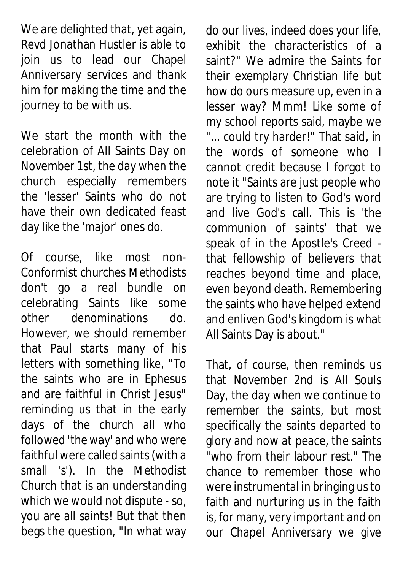We are delighted that, yet again, Revd Jonathan Hustler is able to join us to lead our Chapel Anniversary services and thank him for making the time and the journey to be with us.

We start the month with the celebration of All Saints Day on November 1st, the day when the church especially remembers the 'lesser' Saints who do not have their own dedicated feast day like the 'major' ones do.

Of course, like most non-Conformist churches Methodists don't go a real bundle on celebrating Saints like some other denominations do. However, we should remember that Paul starts many of his letters with something like, "To the saints who are in Ephesus and are faithful in Christ Jesus" reminding us that in the early days of the church all who followed 'the way' and who were faithful were called saints (with a small 's'). In the Methodist Church that is an understanding which we would not dispute - so, you are all saints! But that then begs the question, "In what way do our lives, indeed does your life, exhibit the characteristics of a saint?" We admire the Saints for their exemplary Christian life but how do ours measure up, even in a lesser way? Mmm! Like some of my school reports said, maybe we "... could try harder!" That said, in the words of someone who I cannot credit because I forgot to note it "Saints are just people who are trying to listen to God's word and live God's call. This is 'the communion of saints' that we speak of in the Apostle's Creed that fellowship of believers that reaches beyond time and place, even beyond death. Remembering the saints who have helped extend and enliven God's kingdom is what All Saints Day is about."

That, of course, then reminds us that November 2nd is All Souls Day, the day when we continue to remember the saints, but most specifically the saints departed to glory and now at peace, the saints "who from their labour rest." The chance to remember those who were instrumental in bringing us to faith and nurturing us in the faith is, for many, very important and on our Chapel Anniversary we give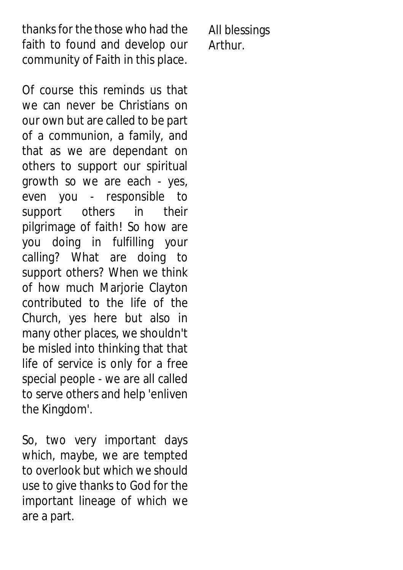thanks for the those who had the faith to found and develop our community of Faith in this place.

Of course this reminds us that we can never be Christians on our own but are called to be part of a communion, a family, and that as we are dependant on others to support our spiritual growth so we are each - yes, even you - responsible to support others in their pilgrimage of faith! So how are you doing in fulfilling your calling? What are doing to support others? When we think of how much Marjorie Clayton contributed to the life of the Church, yes here but also in many other places, we shouldn't be misled into thinking that that life of service is only for a free special people - we are all called to serve others and help 'enliven the Kingdom'.

So, two very important days which, maybe, we are tempted to overlook but which we should use to give thanks to God for the important lineage of which we are a part.

All blessings Arthur.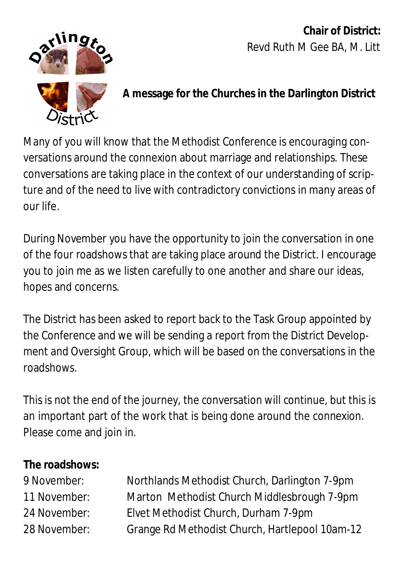**Chair of District:** Revd Ruth M Gee BA, M. Litt



#### **A message for the Churches in the Darlington District**

Many of you will know that the Methodist Conference is encouraging conversations around the connexion about marriage and relationships. These conversations are taking place in the context of our understanding of scripture and of the need to live with contradictory convictions in many areas of our life.

During November you have the opportunity to join the conversation in one of the four roadshows that are taking place around the District. I encourage you to join me as we listen carefully to one another and share our ideas, hopes and concerns.

The District has been asked to report back to the Task Group appointed by the Conference and we will be sending a report from the District Development and Oversight Group, which will be based on the conversations in the roadshows.

This is not the end of the journey, the conversation will continue, but this is an important part of the work that is being done around the connexion. Please come and join in.

#### **The roadshows:**

| 9 November:  | Northlands Methodist Church, Darlington 7-9pm  |
|--------------|------------------------------------------------|
| 11 November: | Marton Methodist Church Middlesbrough 7-9pm    |
| 24 November: | Elvet Methodist Church, Durham 7-9pm           |
| 28 November: | Grange Rd Methodist Church, Hartlepool 10am-12 |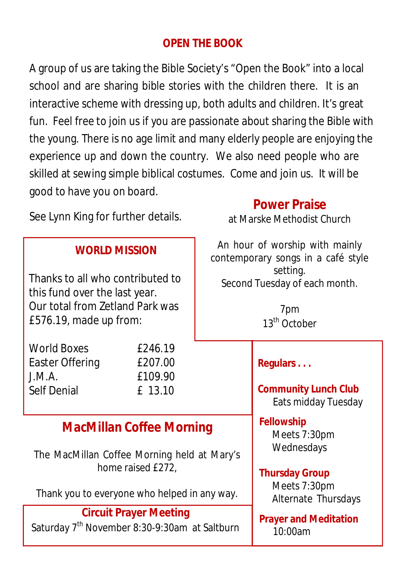### **OPEN THE BOOK**

A group of us are taking the Bible Society's "Open the Book" into a local school and are sharing bible stories with the children there. It is an interactive scheme with dressing up, both adults and children. It's great fun. Feel free to join us if you are passionate about sharing the Bible with the young. There is no age limit and many elderly people are enjoying the experience up and down the country. We also need people who are skilled at sewing simple biblical costumes. Come and join us. It will be good to have you on board. **Power Praise**

at Marske Methodist Church

See Lynn King for further details.

| <b>WORLD MISSION</b>                                                                                                           |                                          | An hour of worship with mainly<br>contemporary songs in a café style         |                                                                |
|--------------------------------------------------------------------------------------------------------------------------------|------------------------------------------|------------------------------------------------------------------------------|----------------------------------------------------------------|
| Thanks to all who contributed to<br>this fund over the last year.<br>Our total from Zetland Park was<br>£576.19, made up from: |                                          | setting.<br>Second Tuesday of each month.<br>7pm<br>13 <sup>th</sup> October |                                                                |
| <b>World Boxes</b><br>Easter Offering<br>J.M.A.<br><b>Self Denial</b>                                                          | £246.19<br>£207.00<br>£109.90<br>£ 13.10 |                                                                              | Regulars<br><b>Community Lunch Club</b><br>Eats midday Tuesday |
| <b>MacMillan Coffee Morning</b>                                                                                                |                                          |                                                                              | <b>Fellowship</b><br>Meets 7:30pm                              |
| The MacMillan Coffee Morning held at Mary's<br>home raised £272,                                                               |                                          |                                                                              | Wednesdays<br><b>Thursday Group</b>                            |
| Thank you to everyone who helped in any way.                                                                                   |                                          |                                                                              | Meets 7:30pm<br>Alternate Thursdays                            |
| <b>Circuit Prayer Meeting</b>                                                                                                  |                                          |                                                                              | <b>Prayer and Meditation</b>                                   |
| Saturday 7 <sup>th</sup> November 8:30-9:30am at Saltburn                                                                      |                                          |                                                                              | 10:00am                                                        |